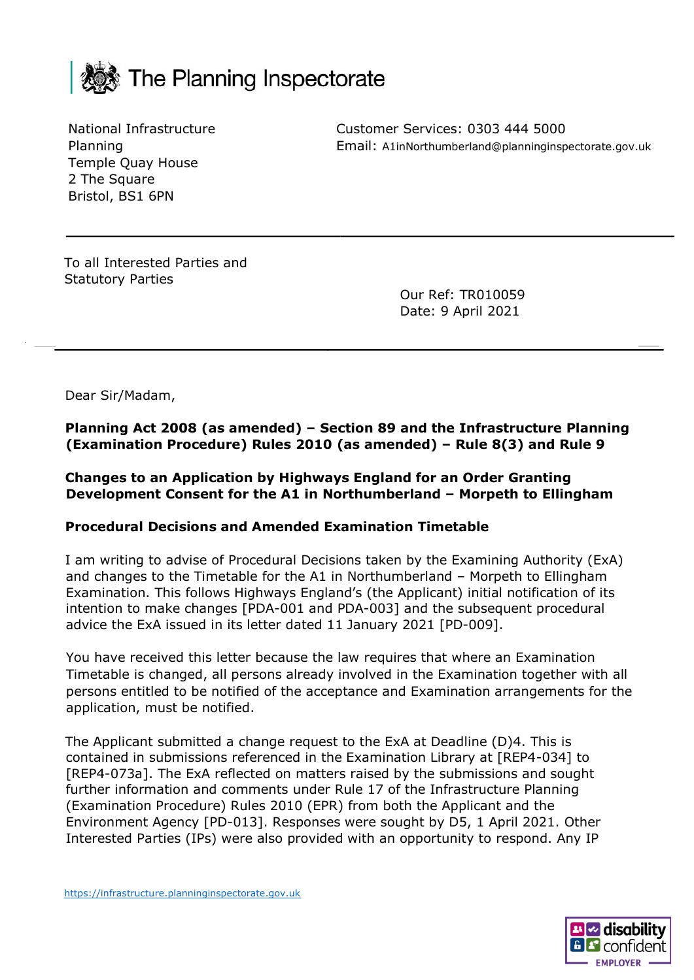

National Infrastructure Planning Temple Quay House 2 The Square Bristol, BS1 6PN

Customer Services: 0303 444 5000 Email: A1inNorthumberland@planninginspectorate.gov.uk

To all Interested Parties and Statutory Parties

Our Ref: TR010059 Date: 9 April 2021

Dear Sir/Madam,

**Planning Act 2008 (as amended) – Section 89 and the Infrastructure Planning (Examination Procedure) Rules 2010 (as amended) – Rule 8(3) and Rule 9**

**Changes to an Application by Highways England for an Order Granting Development Consent for the A1 in Northumberland – Morpeth to Ellingham**

#### **Procedural Decisions and Amended Examination Timetable**

I am writing to advise of Procedural Decisions taken by the Examining Authority (ExA) and changes to the Timetable for the A1 in Northumberland – Morpeth to Ellingham Examination. This follows Highways England's (the Applicant) initial notification of its intention to make changes [PDA-001 and PDA-003] and the subsequent procedural advice the ExA issued in its letter dated 11 January 2021 [PD-009].

You have received this letter because the law requires that where an Examination Timetable is changed, all persons already involved in the Examination together with all persons entitled to be notified of the acceptance and Examination arrangements for the application, must be notified.

The Applicant submitted a change request to the ExA at Deadline (D)4. This is contained in submissions referenced in the Examination Library at [REP4-034] to [REP4-073a]. The ExA reflected on matters raised by the submissions and sought further information and comments under Rule 17 of the Infrastructure Planning (Examination Procedure) Rules 2010 (EPR) from both the Applicant and the Environment Agency [PD-013]. Responses were sought by D5, 1 April 2021. Other Interested Parties (IPs) were also provided with an opportunity to respond. Any IP

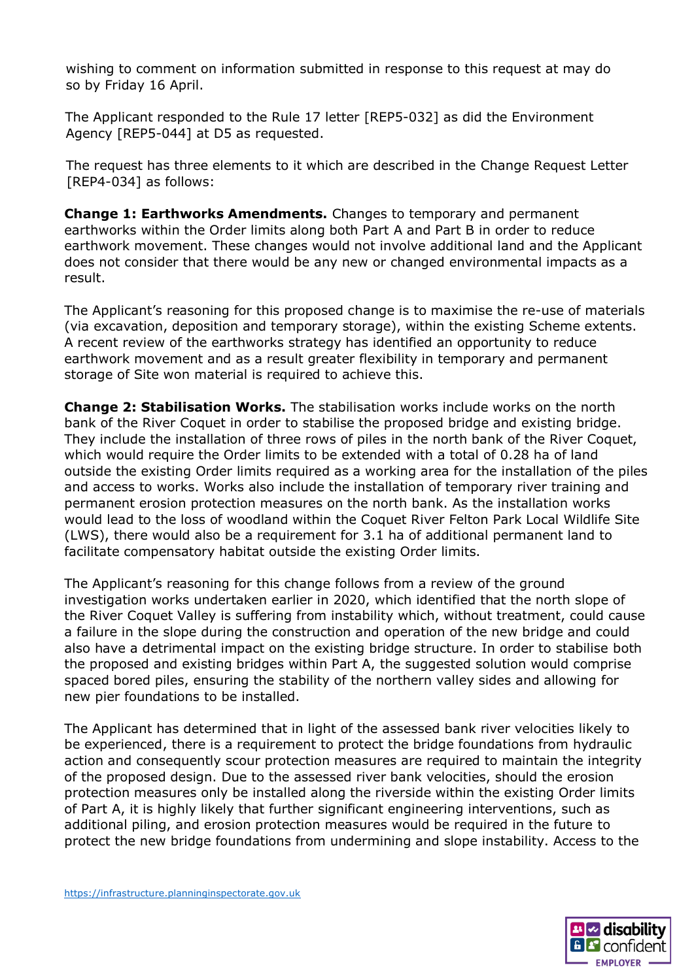wishing to comment on information submitted in response to this request at may do so by Friday 16 April.

The Applicant responded to the Rule 17 letter [REP5-032] as did the Environment Agency [REP5-044] at D5 as requested.

The request has three elements to it which are described in the Change Request Letter [REP4-034] as follows:

**Change 1: Earthworks Amendments.** Changes to temporary and permanent earthworks within the Order limits along both Part A and Part B in order to reduce earthwork movement. These changes would not involve additional land and the Applicant does not consider that there would be any new or changed environmental impacts as a result.

The Applicant's reasoning for this proposed change is to maximise the re-use of materials (via excavation, deposition and temporary storage), within the existing Scheme extents. A recent review of the earthworks strategy has identified an opportunity to reduce earthwork movement and as a result greater flexibility in temporary and permanent storage of Site won material is required to achieve this.

**Change 2: Stabilisation Works.** The stabilisation works include works on the north bank of the River Coquet in order to stabilise the proposed bridge and existing bridge. They include the installation of three rows of piles in the north bank of the River Coquet, which would require the Order limits to be extended with a total of 0.28 ha of land outside the existing Order limits required as a working area for the installation of the piles and access to works. Works also include the installation of temporary river training and permanent erosion protection measures on the north bank. As the installation works would lead to the loss of woodland within the Coquet River Felton Park Local Wildlife Site (LWS), there would also be a requirement for 3.1 ha of additional permanent land to facilitate compensatory habitat outside the existing Order limits.

The Applicant's reasoning for this change follows from a review of the ground investigation works undertaken earlier in 2020, which identified that the north slope of the River Coquet Valley is suffering from instability which, without treatment, could cause a failure in the slope during the construction and operation of the new bridge and could also have a detrimental impact on the existing bridge structure. In order to stabilise both the proposed and existing bridges within Part A, the suggested solution would comprise spaced bored piles, ensuring the stability of the northern valley sides and allowing for new pier foundations to be installed.

The Applicant has determined that in light of the assessed bank river velocities likely to be experienced, there is a requirement to protect the bridge foundations from hydraulic action and consequently scour protection measures are required to maintain the integrity of the proposed design. Due to the assessed river bank velocities, should the erosion protection measures only be installed along the riverside within the existing Order limits of Part A, it is highly likely that further significant engineering interventions, such as additional piling, and erosion protection measures would be required in the future to protect the new bridge foundations from undermining and slope instability. Access to the

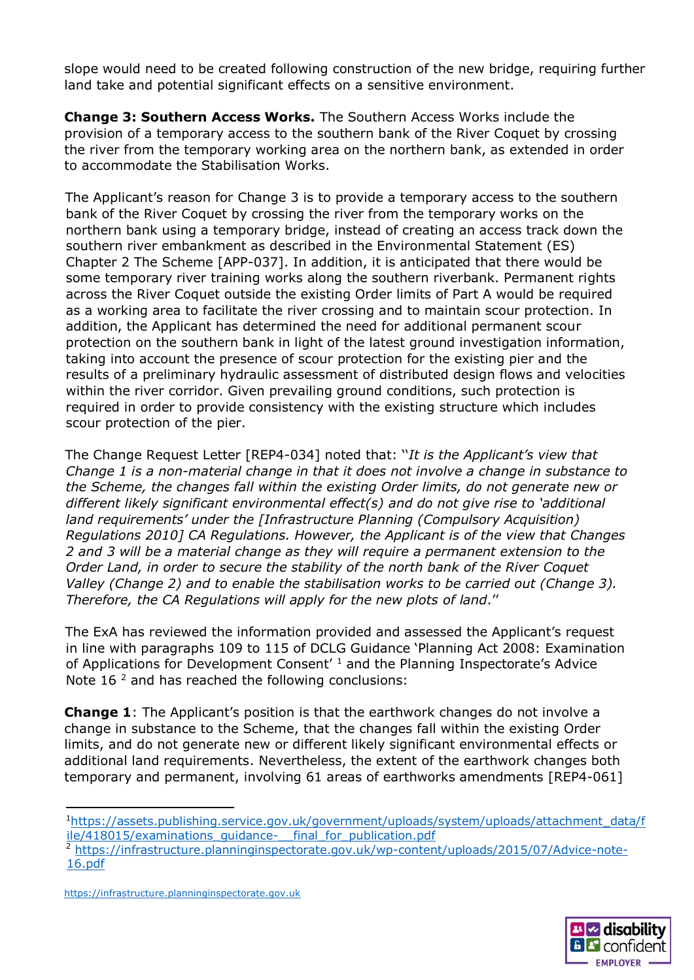slope would need to be created following construction of the new bridge, requiring further land take and potential significant effects on a sensitive environment.

**Change 3: Southern Access Works.** The Southern Access Works include the provision of a temporary access to the southern bank of the River Coquet by crossing the river from the temporary working area on the northern bank, as extended in order to accommodate the Stabilisation Works.

The Applicant's reason for Change 3 is to provide a temporary access to the southern bank of the River Coquet by crossing the river from the temporary works on the northern bank using a temporary bridge, instead of creating an access track down the southern river embankment as described in the Environmental Statement (ES) Chapter 2 The Scheme [APP-037]. In addition, it is anticipated that there would be some temporary river training works along the southern riverbank. Permanent rights across the River Coquet outside the existing Order limits of Part A would be required as a working area to facilitate the river crossing and to maintain scour protection. In addition, the Applicant has determined the need for additional permanent scour protection on the southern bank in light of the latest ground investigation information, taking into account the presence of scour protection for the existing pier and the results of a preliminary hydraulic assessment of distributed design flows and velocities within the river corridor. Given prevailing ground conditions, such protection is required in order to provide consistency with the existing structure which includes scour protection of the pier.

The Change Request Letter [REP4-034] noted that: ''*It is the Applicant's view that Change 1 is a non-material change in that it does not involve a change in substance to the Scheme, the changes fall within the existing Order limits, do not generate new or different likely significant environmental effect(s) and do not give rise to 'additional land requirements' under the [Infrastructure Planning (Compulsory Acquisition) Regulations 2010] CA Regulations. However, the Applicant is of the view that Changes 2 and 3 will be a material change as they will require a permanent extension to the Order Land, in order to secure the stability of the north bank of the River Coquet Valley (Change 2) and to enable the stabilisation works to be carried out (Change 3). Therefore, the CA Regulations will apply for the new plots of land*.''

The ExA has reviewed the information provided and assessed the Applicant's request in line with paragraphs 109 to 115 of DCLG Guidance 'Planning Act 2008: Examination of Applications for Development Consent' <sup>1</sup> and the Planning Inspectorate's Advice Note 16 $^2$  and has reached the following conclusions:

**Change 1**: The Applicant's position is that the earthwork changes do not involve a change in substance to the Scheme, that the changes fall within the existing Order limits, and do not generate new or different likely significant environmental effects or additional land requirements. Nevertheless, the extent of the earthwork changes both temporary and permanent, involving 61 areas of earthworks amendments [REP4-061]



<sup>1</sup>[https://assets.publishing.service.gov.uk/government/uploads/system/uploads/attachment\\_data/f](https://assets.publishing.service.gov.uk/government/uploads/system/uploads/attachment_data/file/418015/examinations_guidance-__final_for_publication.pdf) ile/418015/examinations\_quidance-\_\_final\_for\_publication.pdf

<sup>&</sup>lt;sup>2</sup> [https://infrastructure.planninginspectorate.gov.uk/wp-content/uploads/2015/07/Advice-note-](https://infrastructure.planninginspectorate.gov.uk/wp-content/uploads/2015/07/Advice-note-16.pdf)[16.pdf](https://infrastructure.planninginspectorate.gov.uk/wp-content/uploads/2015/07/Advice-note-16.pdf)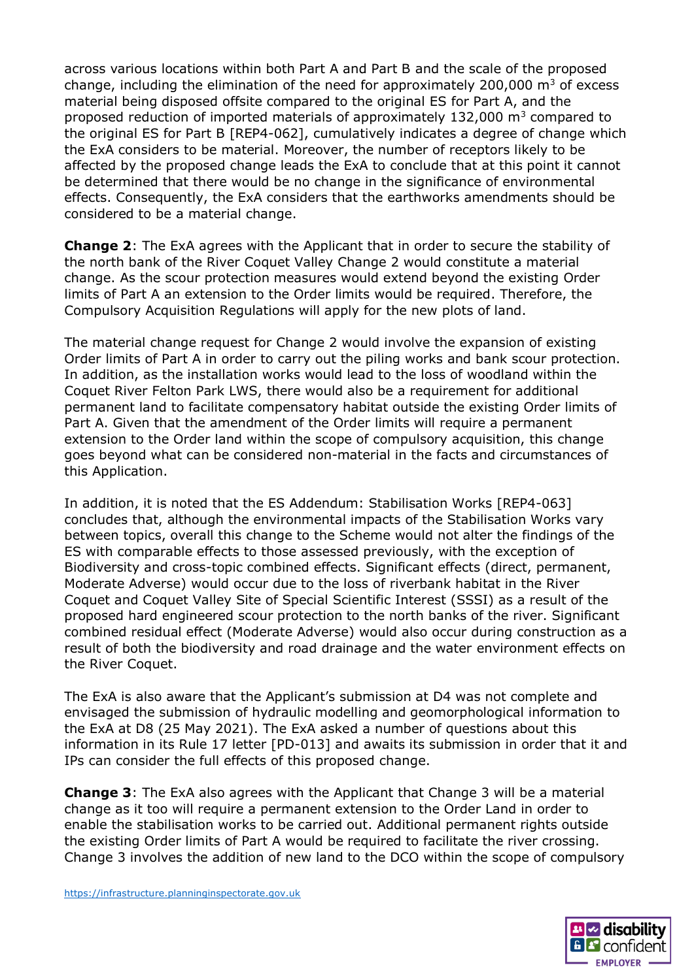across various locations within both Part A and Part B and the scale of the proposed change, including the elimination of the need for approximately 200,000  $m^3$  of excess material being disposed offsite compared to the original ES for Part A, and the proposed reduction of imported materials of approximately  $132,000$  m<sup>3</sup> compared to the original ES for Part B [REP4-062], cumulatively indicates a degree of change which the ExA considers to be material. Moreover, the number of receptors likely to be affected by the proposed change leads the ExA to conclude that at this point it cannot be determined that there would be no change in the significance of environmental effects. Consequently, the ExA considers that the earthworks amendments should be considered to be a material change.

**Change 2**: The ExA agrees with the Applicant that in order to secure the stability of the north bank of the River Coquet Valley Change 2 would constitute a material change. As the scour protection measures would extend beyond the existing Order limits of Part A an extension to the Order limits would be required. Therefore, the Compulsory Acquisition Regulations will apply for the new plots of land.

The material change request for Change 2 would involve the expansion of existing Order limits of Part A in order to carry out the piling works and bank scour protection. In addition, as the installation works would lead to the loss of woodland within the Coquet River Felton Park LWS, there would also be a requirement for additional permanent land to facilitate compensatory habitat outside the existing Order limits of Part A. Given that the amendment of the Order limits will require a permanent extension to the Order land within the scope of compulsory acquisition, this change goes beyond what can be considered non-material in the facts and circumstances of this Application.

In addition, it is noted that the ES Addendum: Stabilisation Works [REP4-063] concludes that, although the environmental impacts of the Stabilisation Works vary between topics, overall this change to the Scheme would not alter the findings of the ES with comparable effects to those assessed previously, with the exception of Biodiversity and cross-topic combined effects. Significant effects (direct, permanent, Moderate Adverse) would occur due to the loss of riverbank habitat in the River Coquet and Coquet Valley Site of Special Scientific Interest (SSSI) as a result of the proposed hard engineered scour protection to the north banks of the river. Significant combined residual effect (Moderate Adverse) would also occur during construction as a result of both the biodiversity and road drainage and the water environment effects on the River Coquet.

The ExA is also aware that the Applicant's submission at D4 was not complete and envisaged the submission of hydraulic modelling and geomorphological information to the ExA at D8 (25 May 2021). The ExA asked a number of questions about this information in its Rule 17 letter [PD-013] and awaits its submission in order that it and IPs can consider the full effects of this proposed change.

**Change 3**: The ExA also agrees with the Applicant that Change 3 will be a material change as it too will require a permanent extension to the Order Land in order to enable the stabilisation works to be carried out. Additional permanent rights outside the existing Order limits of Part A would be required to facilitate the river crossing. Change 3 involves the addition of new land to the DCO within the scope of compulsory

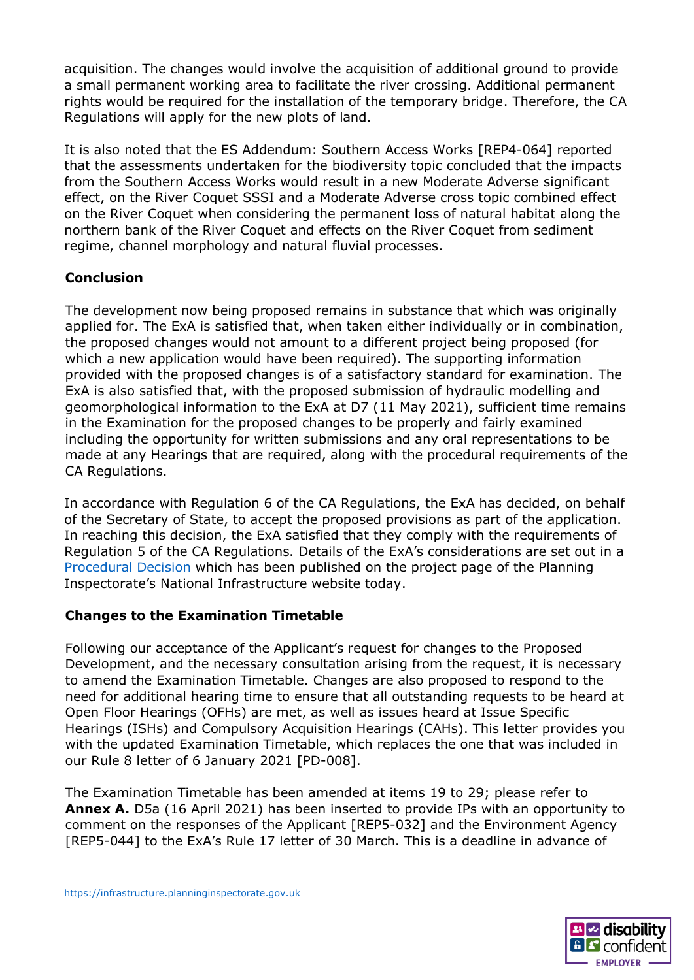acquisition. The changes would involve the acquisition of additional ground to provide a small permanent working area to facilitate the river crossing. Additional permanent rights would be required for the installation of the temporary bridge. Therefore, the CA Regulations will apply for the new plots of land.

It is also noted that the ES Addendum: Southern Access Works [REP4-064] reported that the assessments undertaken for the biodiversity topic concluded that the impacts from the Southern Access Works would result in a new Moderate Adverse significant effect, on the River Coquet SSSI and a Moderate Adverse cross topic combined effect on the River Coquet when considering the permanent loss of natural habitat along the northern bank of the River Coquet and effects on the River Coquet from sediment regime, channel morphology and natural fluvial processes.

# **Conclusion**

The development now being proposed remains in substance that which was originally applied for. The ExA is satisfied that, when taken either individually or in combination, the proposed changes would not amount to a different project being proposed (for which a new application would have been required). The supporting information provided with the proposed changes is of a satisfactory standard for examination. The ExA is also satisfied that, with the proposed submission of hydraulic modelling and geomorphological information to the ExA at D7 (11 May 2021), sufficient time remains in the Examination for the proposed changes to be properly and fairly examined including the opportunity for written submissions and any oral representations to be made at any Hearings that are required, along with the procedural requirements of the CA Regulations.

In accordance with Regulation 6 of the CA Regulations, the ExA has decided, on behalf of the Secretary of State, to accept the proposed provisions as part of the application. In reaching this decision, the ExA satisfied that they comply with the requirements of Regulation 5 of the CA Regulations. Details of the ExA's considerations are set out in a [Procedural Decision](http://infrastructure.planninginspectorate.gov.uk/document/TR010059-001548) which has been published on the project page of the Planning Inspectorate's National Infrastructure website today.

## **Changes to the Examination Timetable**

Following our acceptance of the Applicant's request for changes to the Proposed Development, and the necessary consultation arising from the request, it is necessary to amend the Examination Timetable. Changes are also proposed to respond to the need for additional hearing time to ensure that all outstanding requests to be heard at Open Floor Hearings (OFHs) are met, as well as issues heard at Issue Specific Hearings (ISHs) and Compulsory Acquisition Hearings (CAHs). This letter provides you with the updated Examination Timetable, which replaces the one that was included in our Rule 8 letter of 6 January 2021 [PD-008].

The Examination Timetable has been amended at items 19 to 29; please refer to **Annex A.** D5a (16 April 2021) has been inserted to provide IPs with an opportunity to comment on the responses of the Applicant [REP5-032] and the Environment Agency [REP5-044] to the ExA's Rule 17 letter of 30 March. This is a deadline in advance of

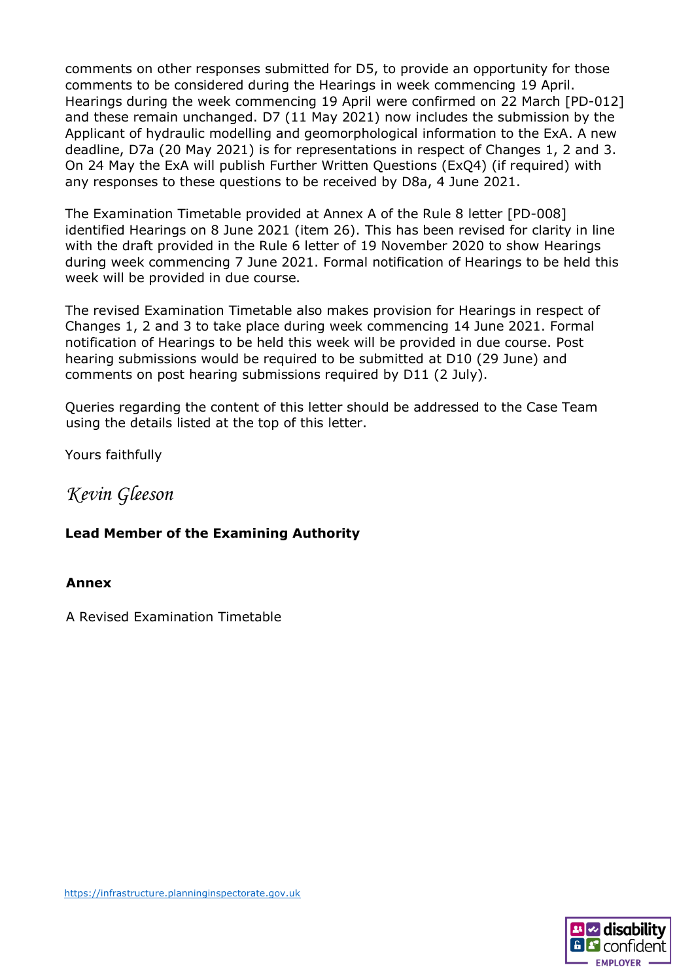comments on other responses submitted for D5, to provide an opportunity for those comments to be considered during the Hearings in week commencing 19 April. Hearings during the week commencing 19 April were confirmed on 22 March [PD-012] and these remain unchanged. D7 (11 May 2021) now includes the submission by the Applicant of hydraulic modelling and geomorphological information to the ExA. A new deadline, D7a (20 May 2021) is for representations in respect of Changes 1, 2 and 3. On 24 May the ExA will publish Further Written Questions (ExQ4) (if required) with any responses to these questions to be received by D8a, 4 June 2021.

The Examination Timetable provided at Annex A of the Rule 8 letter [PD-008] identified Hearings on 8 June 2021 (item 26). This has been revised for clarity in line with the draft provided in the Rule 6 letter of 19 November 2020 to show Hearings during week commencing 7 June 2021. Formal notification of Hearings to be held this week will be provided in due course.

The revised Examination Timetable also makes provision for Hearings in respect of Changes 1, 2 and 3 to take place during week commencing 14 June 2021. Formal notification of Hearings to be held this week will be provided in due course. Post hearing submissions would be required to be submitted at D10 (29 June) and comments on post hearing submissions required by D11 (2 July).

Queries regarding the content of this letter should be addressed to the Case Team using the details listed at the top of this letter.

Yours faithfully

# *Kevin Gleeson*

## **Lead Member of the Examining Authority**

### **Annex**

A Revised Examination Timetable

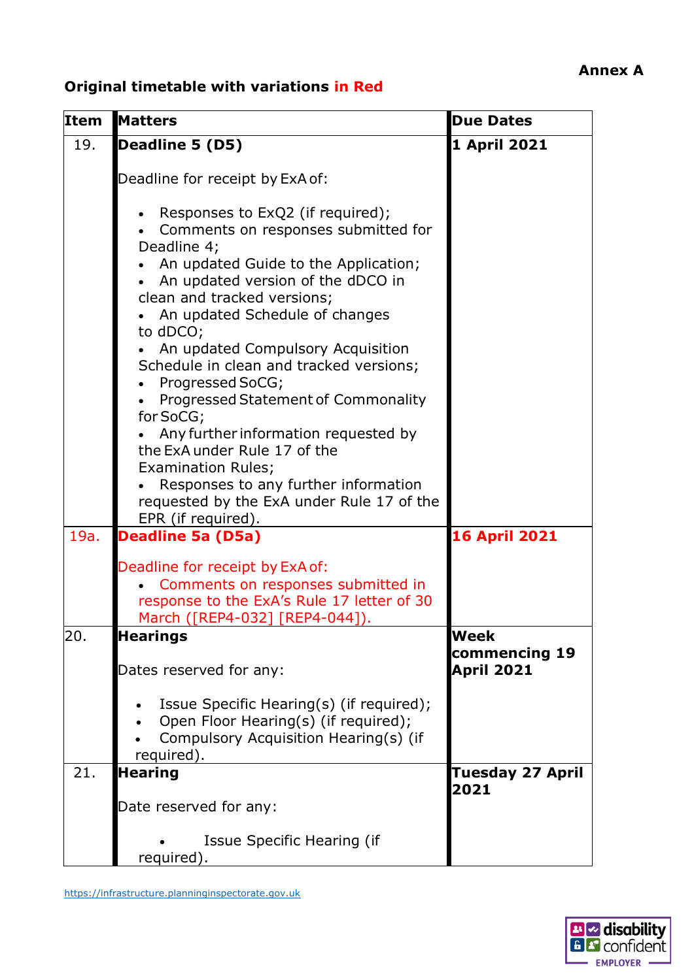# **Original timetable with variations in Red**

| <b>Item</b> | <b>Matters</b>                                                                                                                                                    | <b>Due Dates</b>                           |
|-------------|-------------------------------------------------------------------------------------------------------------------------------------------------------------------|--------------------------------------------|
| 19.         | Deadline 5 (D5)                                                                                                                                                   | 1 April 2021                               |
|             | Deadline for receipt by ExA of:<br>Responses to ExQ2 (if required);<br>Comments on responses submitted for<br>Deadline 4;<br>An updated Guide to the Application; |                                            |
|             | An updated version of the dDCO in<br>clean and tracked versions;<br>An updated Schedule of changes<br>to dDCO;                                                    |                                            |
|             | An updated Compulsory Acquisition<br>Schedule in clean and tracked versions;<br>Progressed SoCG;<br>Progressed Statement of Commonality<br>for SoCG;              |                                            |
|             | Any further information requested by<br>the ExA under Rule 17 of the<br><b>Examination Rules;</b>                                                                 |                                            |
|             | Responses to any further information<br>requested by the ExA under Rule 17 of the<br>EPR (if required).                                                           |                                            |
| 19a.        | <b>Deadline 5a (D5a)</b>                                                                                                                                          | <b>16 April 2021</b>                       |
|             | Deadline for receipt by ExA of:<br>Comments on responses submitted in<br>response to the ExA's Rule 17 letter of 30<br>March ([REP4-032] [REP4-044]).             |                                            |
| 20.         | <b>Hearings</b><br>Dates reserved for any:                                                                                                                        | Week<br>commencing 19<br><b>April 2021</b> |
|             | Issue Specific Hearing(s) (if required);<br>Open Floor Hearing(s) (if required);<br>Compulsory Acquisition Hearing(s) (if<br>required).                           |                                            |
| 21.         | <b>Hearing</b>                                                                                                                                                    | <b>Tuesday 27 April</b><br>2021            |
|             | Date reserved for any:<br>Issue Specific Hearing (if<br>required).                                                                                                |                                            |

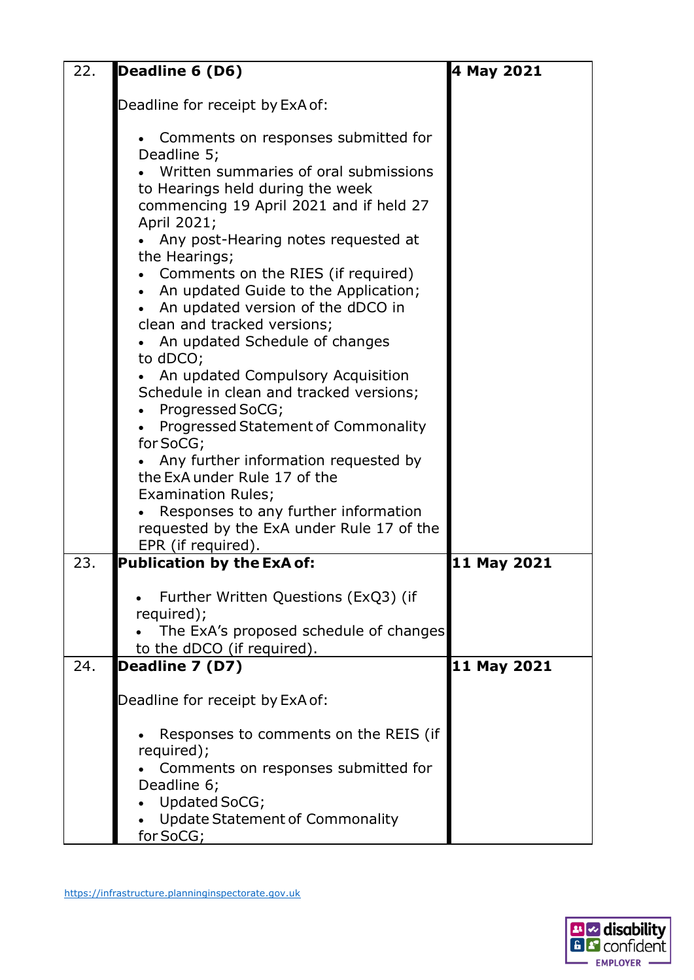| 22. | Deadline 6 (D6)                                                                                                                                                                                                                                                                                                                                                                                                                                                                                                                                                                                                                                                                                                                                        | 4 May 2021  |
|-----|--------------------------------------------------------------------------------------------------------------------------------------------------------------------------------------------------------------------------------------------------------------------------------------------------------------------------------------------------------------------------------------------------------------------------------------------------------------------------------------------------------------------------------------------------------------------------------------------------------------------------------------------------------------------------------------------------------------------------------------------------------|-------------|
|     | Deadline for receipt by ExA of:                                                                                                                                                                                                                                                                                                                                                                                                                                                                                                                                                                                                                                                                                                                        |             |
|     | Comments on responses submitted for<br>Deadline 5;<br>Written summaries of oral submissions<br>to Hearings held during the week<br>commencing 19 April 2021 and if held 27<br>April 2021;<br>Any post-Hearing notes requested at<br>the Hearings;<br>Comments on the RIES (if required)<br>An updated Guide to the Application;<br>An updated version of the dDCO in<br>clean and tracked versions;<br>An updated Schedule of changes<br>to dDCO;<br>An updated Compulsory Acquisition<br>Schedule in clean and tracked versions;<br>Progressed SoCG;<br>Progressed Statement of Commonality<br>for SoCG;<br>Any further information requested by<br>the ExA under Rule 17 of the<br><b>Examination Rules;</b><br>Responses to any further information |             |
|     | requested by the ExA under Rule 17 of the<br>EPR (if required).                                                                                                                                                                                                                                                                                                                                                                                                                                                                                                                                                                                                                                                                                        |             |
| 23. | <b>Publication by the ExA of:</b>                                                                                                                                                                                                                                                                                                                                                                                                                                                                                                                                                                                                                                                                                                                      | 11 May 2021 |
|     | Further Written Questions (ExQ3) (if<br>required);<br>The ExA's proposed schedule of changes<br>to the dDCO (if required).                                                                                                                                                                                                                                                                                                                                                                                                                                                                                                                                                                                                                             |             |
| 24. | Deadline 7 (D7)                                                                                                                                                                                                                                                                                                                                                                                                                                                                                                                                                                                                                                                                                                                                        | 11 May 2021 |
|     | Deadline for receipt by ExA of:                                                                                                                                                                                                                                                                                                                                                                                                                                                                                                                                                                                                                                                                                                                        |             |
|     | Responses to comments on the REIS (if<br>required);<br>Comments on responses submitted for<br>Deadline 6;<br>Updated SoCG;<br><b>Update Statement of Commonality</b><br>for SoCG;                                                                                                                                                                                                                                                                                                                                                                                                                                                                                                                                                                      |             |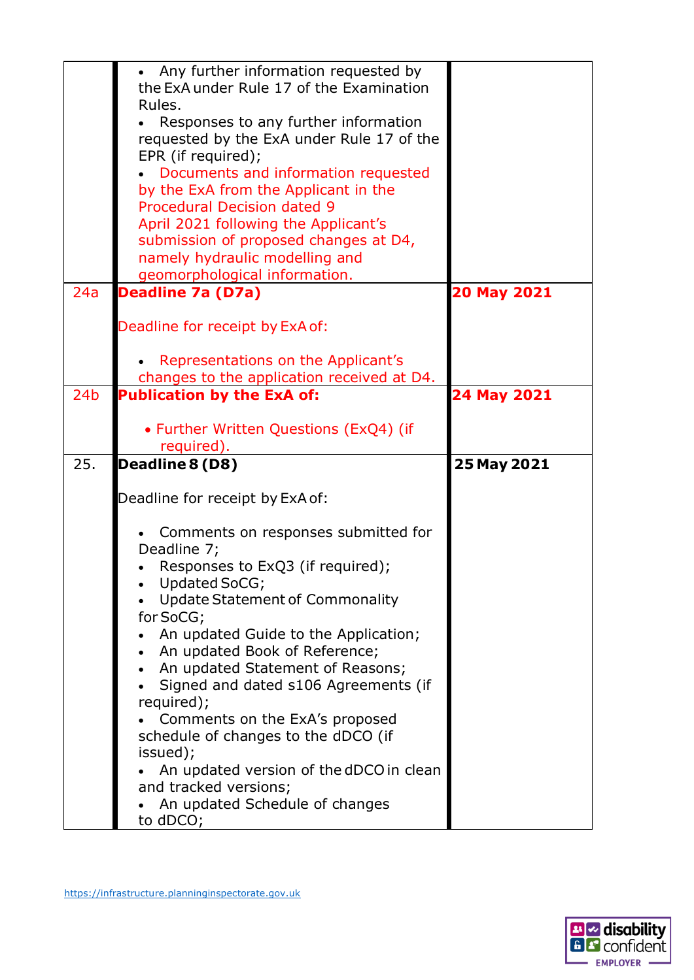|                 | Any further information requested by<br>the ExA under Rule 17 of the Examination<br>Rules.<br>Responses to any further information<br>requested by the ExA under Rule 17 of the<br>EPR (if required);<br>Documents and information requested<br>by the ExA from the Applicant in the<br><b>Procedural Decision dated 9</b><br>April 2021 following the Applicant's |             |
|-----------------|--------------------------------------------------------------------------------------------------------------------------------------------------------------------------------------------------------------------------------------------------------------------------------------------------------------------------------------------------------------------|-------------|
|                 | submission of proposed changes at D4,<br>namely hydraulic modelling and<br>geomorphological information.                                                                                                                                                                                                                                                           |             |
| 24a             | <b>Deadline 7a (D7a)</b>                                                                                                                                                                                                                                                                                                                                           | 20 May 2021 |
|                 | Deadline for receipt by ExA of:                                                                                                                                                                                                                                                                                                                                    |             |
|                 | Representations on the Applicant's                                                                                                                                                                                                                                                                                                                                 |             |
|                 | changes to the application received at D4.                                                                                                                                                                                                                                                                                                                         |             |
| 24 <sub>b</sub> | <b>Publication by the ExA of:</b>                                                                                                                                                                                                                                                                                                                                  | 24 May 2021 |
|                 | • Further Written Questions (ExQ4) (if                                                                                                                                                                                                                                                                                                                             |             |
|                 | required).                                                                                                                                                                                                                                                                                                                                                         |             |
| 25.             | Deadline 8 (D8)                                                                                                                                                                                                                                                                                                                                                    | 25 May 2021 |
|                 | Deadline for receipt by ExA of:                                                                                                                                                                                                                                                                                                                                    |             |
|                 |                                                                                                                                                                                                                                                                                                                                                                    |             |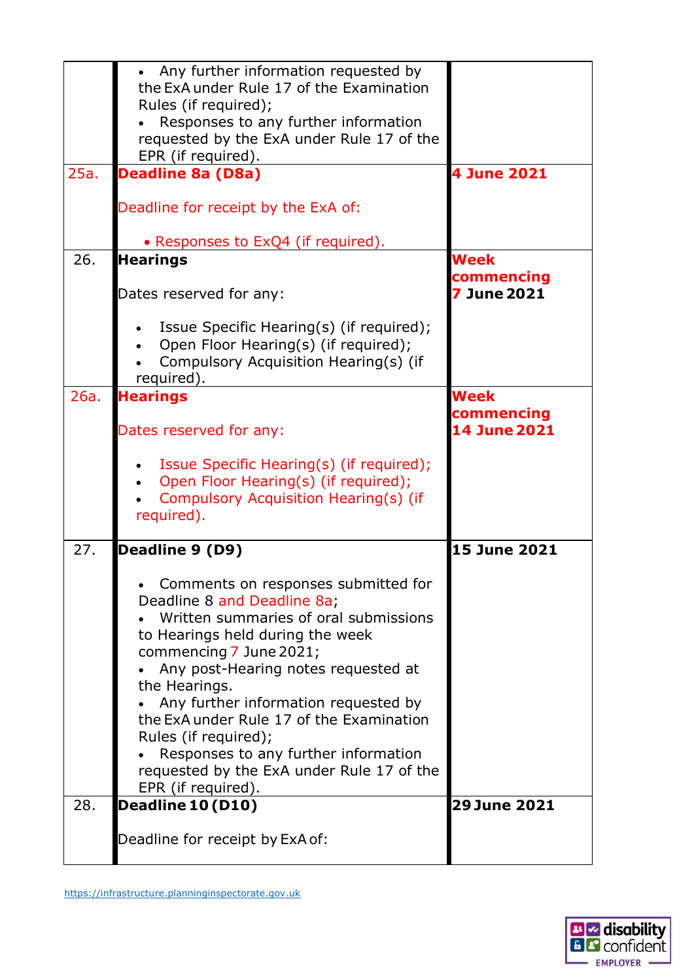|             | Deadline for receipt by ExA of:                                                                                                                                                                                                                                                                                                                                                                                                                           |                                                                  |
|-------------|-----------------------------------------------------------------------------------------------------------------------------------------------------------------------------------------------------------------------------------------------------------------------------------------------------------------------------------------------------------------------------------------------------------------------------------------------------------|------------------------------------------------------------------|
| 28.         | Deadline 10 (D10)                                                                                                                                                                                                                                                                                                                                                                                                                                         | <b>29 June 2021</b>                                              |
|             | Comments on responses submitted for<br>Deadline 8 and Deadline 8a;<br>Written summaries of oral submissions<br>to Hearings held during the week<br>commencing 7 June 2021;<br>Any post-Hearing notes requested at<br>the Hearings.<br>Any further information requested by<br>the ExA under Rule 17 of the Examination<br>Rules (if required);<br>Responses to any further information<br>requested by the ExA under Rule 17 of the<br>EPR (if required). |                                                                  |
| 26a.<br>27. | <b>Hearings</b><br>Dates reserved for any:<br>Issue Specific Hearing(s) (if required);<br>Open Floor Hearing(s) (if required);<br>Compulsory Acquisition Hearing(s) (if<br>required).<br>Deadline 9 (D9)                                                                                                                                                                                                                                                  | Week<br>commencing<br><b>14 June 2021</b><br><b>15 June 2021</b> |
|             | Dates reserved for any:<br>Issue Specific Hearing(s) (if required);<br>Open Floor Hearing(s) (if required);<br>Compulsory Acquisition Hearing(s) (if<br>required).                                                                                                                                                                                                                                                                                        | commencing<br>7 June 2021                                        |
| 26.         | Deadline for receipt by the ExA of:<br>• Responses to ExQ4 (if required).<br><b>Hearings</b>                                                                                                                                                                                                                                                                                                                                                              | Week                                                             |
| 25a.        | • Any further information requested by<br>the ExA under Rule 17 of the Examination<br>Rules (if required);<br>Responses to any further information<br>requested by the ExA under Rule 17 of the<br>EPR (if required).<br><b>Deadline 8a (D8a)</b>                                                                                                                                                                                                         | 4 June 2021                                                      |
|             |                                                                                                                                                                                                                                                                                                                                                                                                                                                           |                                                                  |